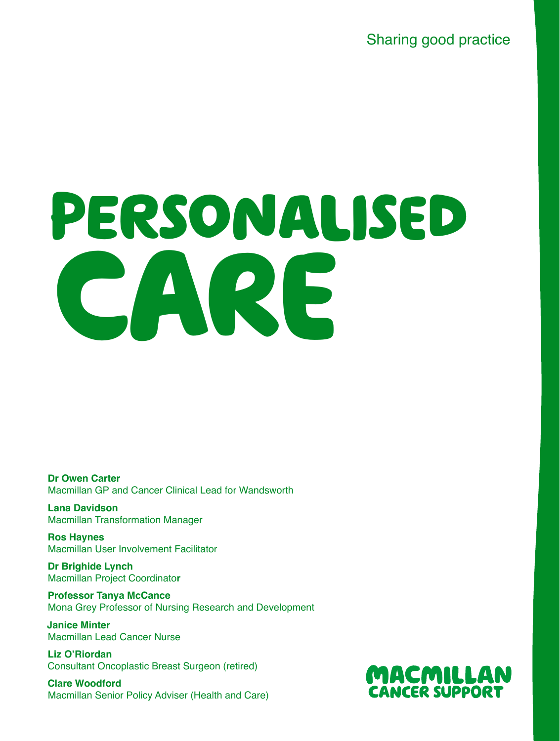Sharing good practice

# Personalised care

**Dr Owen Carter** Macmillan GP and Cancer Clinical Lead for Wandsworth

**Lana Davidson** Macmillan Transformation Manager

**Ros Haynes** Macmillan User Involvement Facilitator

**Dr Brighide Lynch** Macmillan Project Coordinato**r**

**Professor Tanya McCance** Mona Grey Professor of Nursing Research and Development

**Janice Minter** Macmillan Lead Cancer Nurse

**Liz O'Riordan** Consultant Oncoplastic Breast Surgeon (retired)

**Clare Woodford**  Macmillan Senior Policy Adviser (Health and Care)

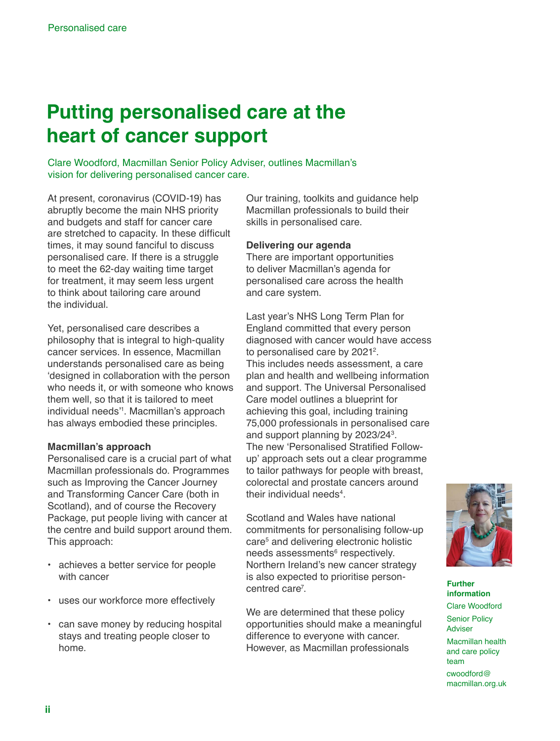# **Putting personalised care at the heart of cancer support**

Clare Woodford, Macmillan Senior Policy Adviser, outlines Macmillan's vision for delivering personalised cancer care.

At present, coronavirus (COVID-19) has abruptly become the main NHS priority and budgets and staff for cancer care are stretched to capacity. In these difficult times, it may sound fanciful to discuss personalised care. If there is a struggle to meet the 62-day waiting time target for treatment, it may seem less urgent to think about tailoring care around the individual.

Yet, personalised care describes a philosophy that is integral to high-quality cancer services. In essence, Macmillan understands personalised care as being 'designed in collaboration with the person who needs it, or with someone who knows them well, so that it is tailored to meet individual needs'<sup>1</sup> . Macmillan's approach has always embodied these principles.

### **Macmillan's approach**

Personalised care is a crucial part of what Macmillan professionals do. Programmes such as Improving the Cancer Journey and Transforming Cancer Care (both in Scotland), and of course the Recovery Package, put people living with cancer at the centre and build support around them. This approach:

- achieves a better service for people with cancer
- uses our workforce more effectively
- can save money by reducing hospital stays and treating people closer to home.

Our training, toolkits and guidance help Macmillan professionals to build their skills in personalised care.

# **Delivering our agenda**

There are important opportunities to deliver Macmillan's agenda for personalised care across the health and care system.

Last year's NHS Long Term Plan for England committed that every person diagnosed with cancer would have access to personalised care by 2021<sup>2</sup>. This includes needs assessment, a care plan and health and wellbeing information and support. The Universal Personalised Care model outlines a blueprint for achieving this goal, including training 75,000 professionals in personalised care and support planning by 2023/243. The new 'Personalised Stratified Followup' approach sets out a clear programme to tailor pathways for people with breast, colorectal and prostate cancers around their individual needs<sup>4</sup>.

Scotland and Wales have national commitments for personalising follow-up care5 and delivering electronic holistic needs assessments<sup>6</sup> respectively. Northern Ireland's new cancer strategy is also expected to prioritise personcentred care<sup>7</sup>.

We are determined that these policy opportunities should make a meaningful difference to everyone with cancer. However, as Macmillan professionals



**Further information**

Clare Woodford Senior Policy **Adviser** 

Macmillan health and care policy team

[cwoodford@](mailto:cwoodford@macmillan.org.uk) [macmillan.org.uk](mailto:cwoodford@macmillan.org.uk)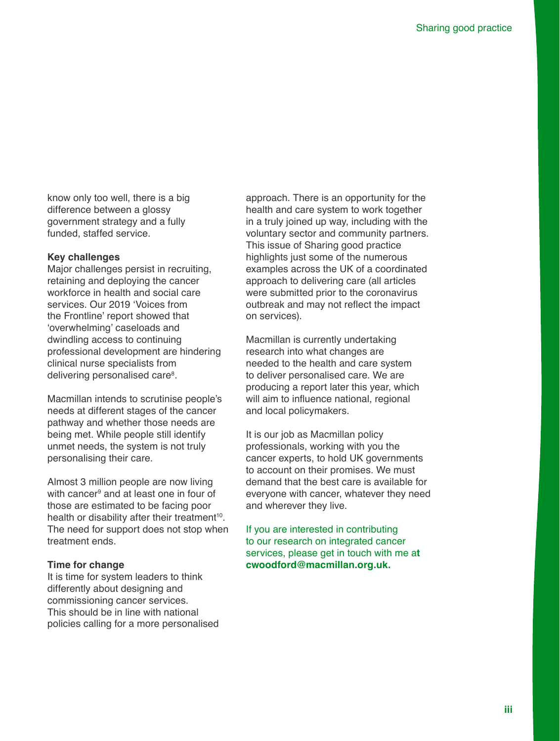know only too well, there is a big difference between a glossy government strategy and a fully funded, staffed service.

# **Key challenges**

Major challenges persist in recruiting, retaining and deploying the cancer workforce in health and social care services. Our 2019 'Voices from the Frontline' report showed that 'overwhelming' caseloads and dwindling access to continuing professional development are hindering clinical nurse specialists from delivering personalised care<sup>8</sup>.

Macmillan intends to scrutinise people's needs at different stages of the cancer pathway and whether those needs are being met. While people still identify unmet needs, the system is not truly personalising their care.

Almost 3 million people are now living with cancer<sup>9</sup> and at least one in four of those are estimated to be facing poor health or disability after their treatment<sup>10</sup>. The need for support does not stop when treatment ends.

### **Time for change**

It is time for system leaders to think differently about designing and commissioning cancer services. This should be in line with national policies calling for a more personalised approach. There is an opportunity for the health and care system to work together in a truly joined up way, including with the voluntary sector and community partners. This issue of Sharing good practice highlights just some of the numerous examples across the UK of a coordinated approach to delivering care (all articles were submitted prior to the coronavirus outbreak and may not reflect the impact on services).

Macmillan is currently undertaking research into what changes are needed to the health and care system to deliver personalised care. We are producing a report later this year, which will aim to influence national, regional and local policymakers.

It is our job as Macmillan policy professionals, working with you the cancer experts, to hold UK governments to account on their promises. We must demand that the best care is available for everyone with cancer, whatever they need and wherever they live.

If you are interested in contributing to our research on integrated cancer services, please get in touch with me a**t [cwoodford@macmillan.org.uk](mailto:cwoodford@macmillan.org.uk).**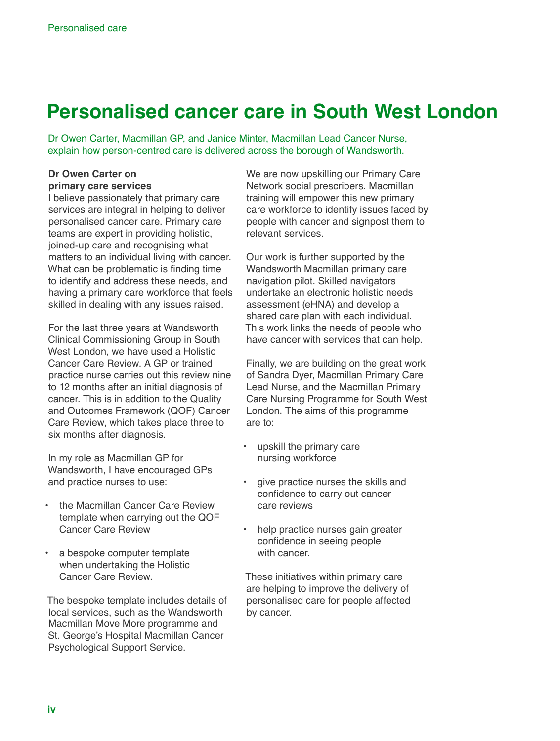# **Personalised cancer care in South West London**

Dr Owen Carter, Macmillan GP, and Janice Minter, Macmillan Lead Cancer Nurse, explain how person-centred care is delivered across the borough of Wandsworth.

# **Dr Owen Carter on primary care services**

I believe passionately that primary care services are integral in helping to deliver personalised cancer care. Primary care teams are expert in providing holistic, joined-up care and recognising what matters to an individual living with cancer. What can be problematic is finding time to identify and address these needs, and having a primary care workforce that feels skilled in dealing with any issues raised.

For the last three years at Wandsworth Clinical Commissioning Group in South West London, we have used a Holistic Cancer Care Review. A GP or trained practice nurse carries out this review nine to 12 months after an initial diagnosis of cancer. This is in addition to the Quality and Outcomes Framework (QOF) Cancer Care Review, which takes place three to six months after diagnosis.

In my role as Macmillan GP for Wandsworth, I have encouraged GPs and practice nurses to use:

- the Macmillan Cancer Care Review template when carrying out the QOF Cancer Care Review
- a bespoke computer template when undertaking the Holistic Cancer Care Review.

The bespoke template includes details of local services, such as the Wandsworth Macmillan Move More programme and St. George's Hospital Macmillan Cancer Psychological Support Service.

We are now upskilling our Primary Care Network social prescribers. Macmillan training will empower this new primary care workforce to identify issues faced by people with cancer and signpost them to relevant services.

Our work is further supported by the Wandsworth Macmillan primary care navigation pilot. Skilled navigators undertake an electronic holistic needs assessment (eHNA) and develop a shared care plan with each individual. This work links the needs of people who have cancer with services that can help.

Finally, we are building on the great work of Sandra Dyer, Macmillan Primary Care Lead Nurse, and the Macmillan Primary Care Nursing Programme for South West London. The aims of this programme are to:

- upskill the primary care nursing workforce
- give practice nurses the skills and confidence to carry out cancer care reviews
- help practice nurses gain greater confidence in seeing people with cancer.

These initiatives within primary care are helping to improve the delivery of personalised care for people affected by cancer.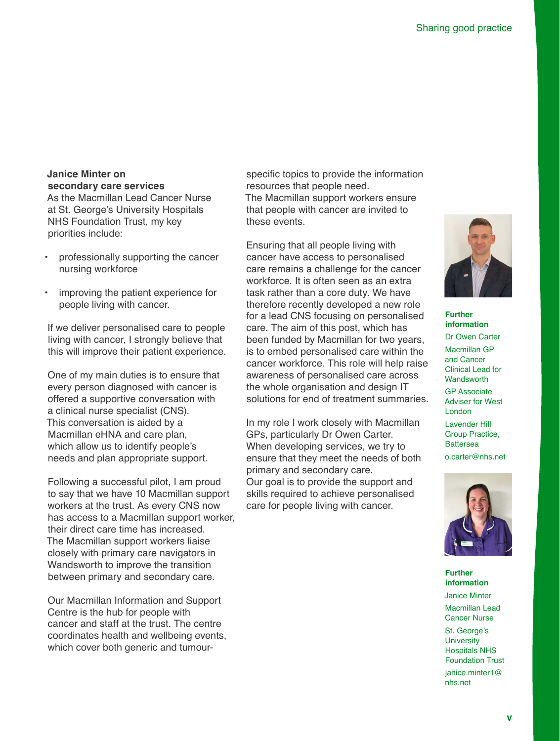# **Janice Minter on secondary care services**

As the Macmillan Lead Cancer Nurse at St. George's University Hospitals NHS Foundation Trust, my key priorities include:

- professionally supporting the cancer nursing workforce
- improving the patient experience for people living with cancer.

If we deliver personalised care to people living with cancer, I strongly believe that this will improve their patient experience.

One of my main duties is to ensure that every person diagnosed with cancer is offered a supportive conversation with a clinical nurse specialist (CNS). This conversation is aided by a Macmillan eHNA and care plan, which allow us to identify people's needs and plan appropriate support.

Following a successful pilot, I am proud to say that we have 10 Macmillan support workers at the trust. As every CNS now has access to a Macmillan support worker, their direct care time has increased. The Macmillan support workers liaise closely with primary care navigators in Wandsworth to improve the transition between primary and secondary care.

Our Macmillan Information and Support Centre is the hub for people with cancer and staff at the trust. The centre coordinates health and wellbeing events, which cover both generic and tumourspecific topics to provide the information resources that people need. The Macmillan support workers ensure that people with cancer are invited to these events.

Ensuring that all people living with cancer have access to personalised care remains a challenge for the cancer workforce. It is often seen as an extra task rather than a core duty. We have therefore recently developed a new role for a lead CNS focusing on personalised care. The aim of this post, which has been funded by Macmillan for two years, is to embed personalised care within the cancer workforce. This role will help raise awareness of personalised care across the whole organisation and design IT solutions for end of treatment summaries.

In my role I work closely with Macmillan GPs, particularly Dr Owen Carter. When developing services, we try to ensure that they meet the needs of both primary and secondary care. Our goal is to provide the support and skills required to achieve personalised care for people living with cancer.



**Further information** Dr Owen Carter

Macmillan GP and Cancer Clinical Lead for **Wandsworth** 

GP Associate Adviser for West London

Lavender Hill Group Practice, **Battersea** [o.carter@nhs.net](mailto:o.carter@nhs.net)



**Further information** Janice Minter Macmillan Lead Cancer Nurse St. George's **University** Hospitals NHS Foundation Trust [janice.minter1@](mailto:janice.minter1@nhs.net) [nhs.net](mailto:janice.minter1@nhs.net)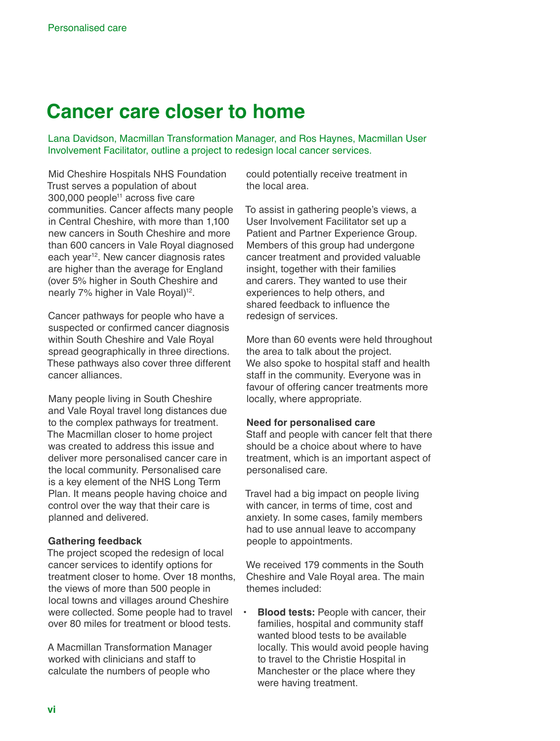# **Cancer care closer to home**

Lana Davidson, Macmillan Transformation Manager, and Ros Haynes, Macmillan User Involvement Facilitator, outline a project to redesign local cancer services.

Mid Cheshire Hospitals NHS Foundation Trust serves a population of about 300,000 people<sup>11</sup> across five care communities. Cancer affects many people in Central Cheshire, with more than 1,100 new cancers in South Cheshire and more than 600 cancers in Vale Royal diagnosed each year<sup>12</sup>. New cancer diagnosis rates are higher than the average for England (over 5% higher in South Cheshire and nearly 7% higher in Vale Royal)<sup>12</sup>.

Cancer pathways for people who have a suspected or confirmed cancer diagnosis within South Cheshire and Vale Royal spread geographically in three directions. These pathways also cover three different cancer alliances.

Many people living in South Cheshire and Vale Royal travel long distances due to the complex pathways for treatment. The Macmillan closer to home project was created to address this issue and deliver more personalised cancer care in the local community. Personalised care is a key element of the NHS Long Term Plan. It means people having choice and control over the way that their care is planned and delivered.

# **Gathering feedback**

The project scoped the redesign of local cancer services to identify options for treatment closer to home. Over 18 months, the views of more than 500 people in local towns and villages around Cheshire were collected. Some people had to travel over 80 miles for treatment or blood tests.

A Macmillan Transformation Manager worked with clinicians and staff to calculate the numbers of people who

could potentially receive treatment in the local area.

To assist in gathering people's views, a User Involvement Facilitator set up a Patient and Partner Experience Group. Members of this group had undergone cancer treatment and provided valuable insight, together with their families and carers. They wanted to use their experiences to help others, and shared feedback to influence the redesign of services.

More than 60 events were held throughout the area to talk about the project. We also spoke to hospital staff and health staff in the community. Everyone was in favour of offering cancer treatments more locally, where appropriate.

### **Need for personalised care**

Staff and people with cancer felt that there should be a choice about where to have treatment, which is an important aspect of personalised care.

Travel had a big impact on people living with cancer, in terms of time, cost and anxiety. In some cases, family members had to use annual leave to accompany people to appointments.

We received 179 comments in the South Cheshire and Vale Royal area. The main themes included:

**• Blood tests:** People with cancer, their families, hospital and community staff wanted blood tests to be available locally. This would avoid people having to travel to the Christie Hospital in Manchester or the place where they were having treatment.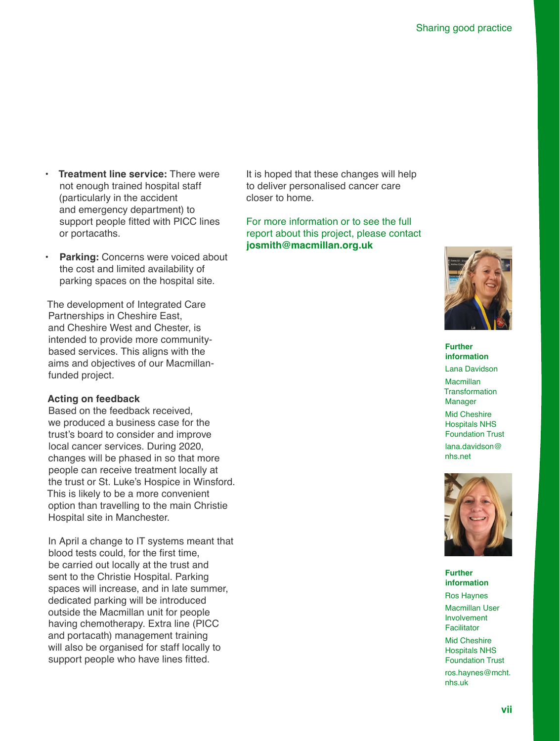- **• Treatment line service:** There were not enough trained hospital staff (particularly in the accident and emergency department) to support people fitted with PICC lines or portacaths.
- **• Parking:** Concerns were voiced about the cost and limited availability of parking spaces on the hospital site.

The development of Integrated Care Partnerships in Cheshire East, and Cheshire West and Chester, is intended to provide more communitybased services. This aligns with the aims and objectives of our Macmillanfunded project.

# **Acting on feedback**

Based on the feedback received, we produced a business case for the trust's board to consider and improve local cancer services. During 2020, changes will be phased in so that more people can receive treatment locally at the trust or St. Luke's Hospice in Winsford. This is likely to be a more convenient option than travelling to the main Christie Hospital site in Manchester.

In April a change to IT systems meant that blood tests could, for the first time, be carried out locally at the trust and sent to the Christie Hospital. Parking spaces will increase, and in late summer, dedicated parking will be introduced outside the Macmillan unit for people having chemotherapy. Extra line (PICC and portacath) management training will also be organised for staff locally to support people who have lines fitted.

It is hoped that these changes will help to deliver personalised cancer care closer to home.

For more information or to see the full report about this project, please contact **[josmith@macmillan.org.uk](mailto:josmith@macmillan.org.uk)**



### **Further information**

Lana Davidson Macmillan **Transformation** Manager Mid Cheshire Hospitals NHS Foundation Trust

[lana.davidson@](mailto:lana.davidson@nhs.net) [nhs.net](mailto:lana.davidson@nhs.net)



### **Further information**

Ros Haynes

Macmillan User Involvement **Facilitator** 

Mid Cheshire Hospitals NHS Foundation Trust

[ros.haynes@mcht.](mailto:ros.haynes@mcht.nhs.uk) [nhs.uk](mailto:ros.haynes@mcht.nhs.uk)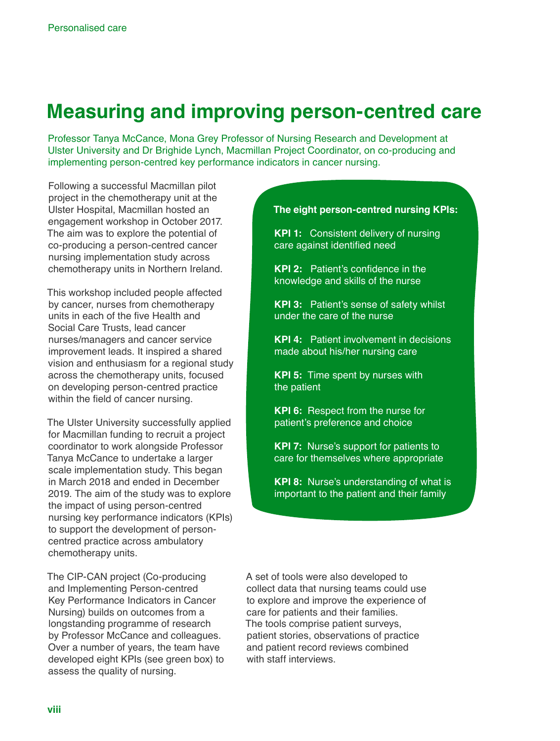# **Measuring and improving person-centred care**

Professor Tanya McCance, Mona Grey Professor of Nursing Research and Development at Ulster University and Dr Brighide Lynch, Macmillan Project Coordinator, on co-producing and implementing person-centred key performance indicators in cancer nursing.

Following a successful Macmillan pilot project in the chemotherapy unit at the Ulster Hospital, Macmillan hosted an engagement workshop in October 2017. The aim was to explore the potential of co-producing a person-centred cancer nursing implementation study across chemotherapy units in Northern Ireland.

This workshop included people affected by cancer, nurses from chemotherapy units in each of the five Health and Social Care Trusts, lead cancer nurses/managers and cancer service improvement leads. It inspired a shared vision and enthusiasm for a regional study across the chemotherapy units, focused on developing person-centred practice within the field of cancer nursing.

The Ulster University successfully applied for Macmillan funding to recruit a project coordinator to work alongside Professor Tanya McCance to undertake a larger scale implementation study. This began in March 2018 and ended in December 2019. The aim of the study was to explore the impact of using person-centred nursing key performance indicators (KPIs) to support the development of personcentred practice across ambulatory chemotherapy units.

The CIP-CAN project (Co-producing and Implementing Person-centred Key Performance Indicators in Cancer Nursing) builds on outcomes from a longstanding programme of research by Professor McCance and colleagues. Over a number of years, the team have developed eight KPIs (see green box) to assess the quality of nursing.

# **The eight person-centred nursing KPIs: KPI 1:** Consistent delivery of nursing care against identified need **KPI 2:** Patient's confidence in the knowledge and skills of the nurse **KPI 3:** Patient's sense of safety whilst under the care of the nurse **KPI 4:** Patient involvement in decisions made about his/her nursing care **KPI 5:** Time spent by nurses with the patient **KPI 6:** Respect from the nurse for patient's preference and choice **KPI 7:** Nurse's support for patients to care for themselves where appropriate **KPI 8:** Nurse's understanding of what is important to the patient and their family

A set of tools were also developed to collect data that nursing teams could use to explore and improve the experience of care for patients and their families. The tools comprise patient surveys, patient stories, observations of practice and patient record reviews combined with staff interviews.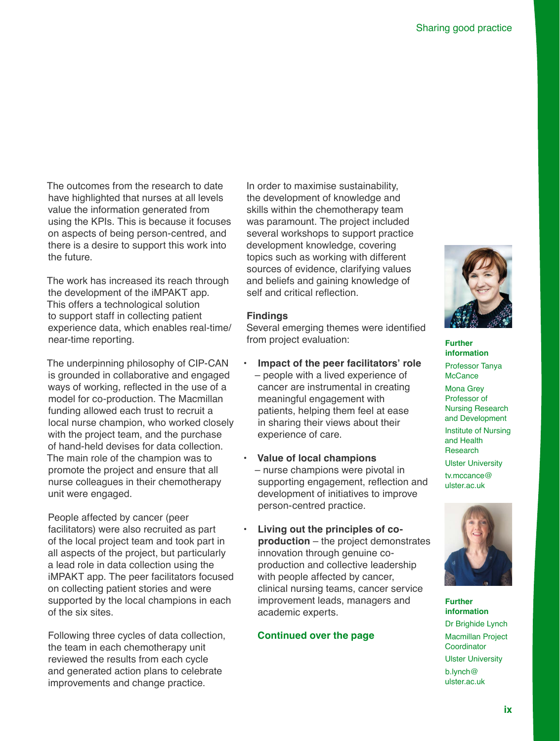The outcomes from the research to date have highlighted that nurses at all levels value the information generated from using the KPIs. This is because it focuses on aspects of being person-centred, and there is a desire to support this work into the future.

The work has increased its reach through the development of the iMPAKT app. This offers a technological solution to support staff in collecting patient experience data, which enables real-time/ near-time reporting.

The underpinning philosophy of CIP-CAN is grounded in collaborative and engaged ways of working, reflected in the use of a model for co-production. The Macmillan funding allowed each trust to recruit a local nurse champion, who worked closely with the project team, and the purchase of hand-held devises for data collection. The main role of the champion was to promote the project and ensure that all nurse colleagues in their chemotherapy unit were engaged.

People affected by cancer (peer facilitators) were also recruited as part of the local project team and took part in all aspects of the project, but particularly a lead role in data collection using the iMPAKT app. The peer facilitators focused on collecting patient stories and were supported by the local champions in each of the six sites.

Following three cycles of data collection, the team in each chemotherapy unit reviewed the results from each cycle and generated action plans to celebrate improvements and change practice.

In order to maximise sustainability, the development of knowledge and skills within the chemotherapy team was paramount. The project included several workshops to support practice development knowledge, covering topics such as working with different sources of evidence, clarifying values and beliefs and gaining knowledge of self and critical reflection.

### **Findings**

Several emerging themes were identified from project evaluation:

- **• Impact of the peer facilitators' role** – people with a lived experience of cancer are instrumental in creating meaningful engagement with patients, helping them feel at ease in sharing their views about their experience of care.
- **• Value of local champions** – nurse champions were pivotal in supporting engagement, reflection and development of initiatives to improve person-centred practice.
- **• Living out the principles of coproduction** – the project demonstrates innovation through genuine coproduction and collective leadership with people affected by cancer, clinical nursing teams, cancer service improvement leads, managers and academic experts.

### **Continued over the page**



**Further information** Professor Tanya **McCance** 

Mona Grey Professor of Nursing Research and Development Institute of Nursing and Health Research

Ulster University tv.mccance@ [ulster.ac.uk](http://ulster.ac.uk)



**Further information** Dr Brighide Lynch Macmillan Project **Coordinator** Ulster University b.lynch@ [ulster.ac.uk](http://ulster.ac.uk)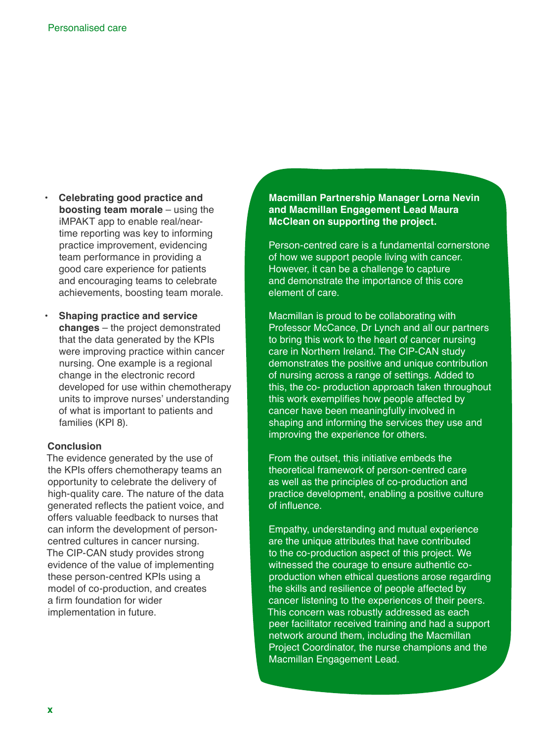- **• Celebrating good practice and boosting team morale** – using the iMPAKT app to enable real/neartime reporting was key to informing practice improvement, evidencing team performance in providing a good care experience for patients and encouraging teams to celebrate achievements, boosting team morale.
- **• Shaping practice and service changes** – the project demonstrated that the data generated by the KPIs were improving practice within cancer nursing. One example is a regional change in the electronic record developed for use within chemotherapy units to improve nurses' understanding of what is important to patients and families (KPI 8).

# **Conclusion**

The evidence generated by the use of the KPIs offers chemotherapy teams an opportunity to celebrate the delivery of high-quality care. The nature of the data generated reflects the patient voice, and offers valuable feedback to nurses that can inform the development of personcentred cultures in cancer nursing. The CIP-CAN study provides strong evidence of the value of implementing these person-centred KPIs using a model of co-production, and creates a firm foundation for wider implementation in future.

**Macmillan Partnership Manager Lorna Nevin and Macmillan Engagement Lead Maura McClean on supporting the project.**

Person-centred care is a fundamental cornerstone of how we support people living with cancer. However, it can be a challenge to capture and demonstrate the importance of this core element of care.

Macmillan is proud to be collaborating with Professor McCance, Dr Lynch and all our partners to bring this work to the heart of cancer nursing care in Northern Ireland. The CIP-CAN study demonstrates the positive and unique contribution of nursing across a range of settings. Added to this, the co- production approach taken throughout this work exemplifies how people affected by cancer have been meaningfully involved in shaping and informing the services they use and improving the experience for others.

From the outset, this initiative embeds the theoretical framework of person-centred care as well as the principles of co-production and practice development, enabling a positive culture of influence.

Empathy, understanding and mutual experience are the unique attributes that have contributed to the co-production aspect of this project. We witnessed the courage to ensure authentic coproduction when ethical questions arose regarding the skills and resilience of people affected by cancer listening to the experiences of their peers. This concern was robustly addressed as each peer facilitator received training and had a support network around them, including the Macmillan Project Coordinator, the nurse champions and the Macmillan Engagement Lead.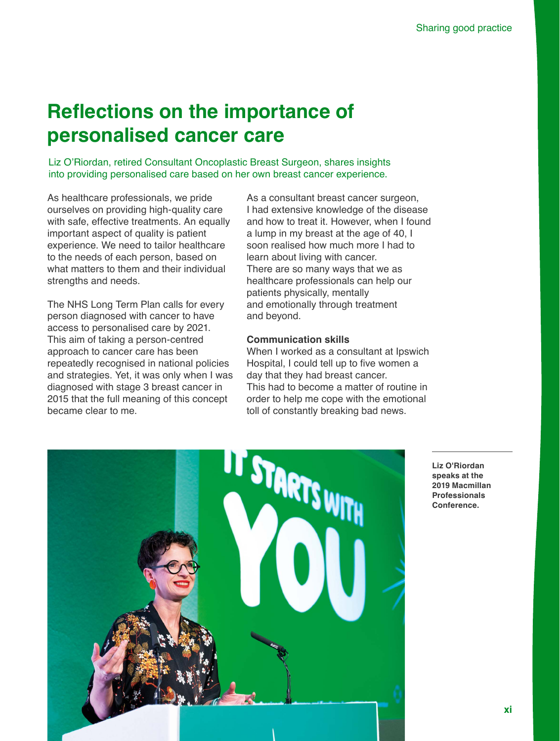# **Reflections on the importance of personalised cancer care**

Liz O'Riordan, retired Consultant Oncoplastic Breast Surgeon, shares insights into providing personalised care based on her own breast cancer experience.

As healthcare professionals, we pride ourselves on providing high-quality care with safe, effective treatments. An equally important aspect of quality is patient experience. We need to tailor healthcare to the needs of each person, based on what matters to them and their individual strengths and needs.

The NHS Long Term Plan calls for every person diagnosed with cancer to have access to personalised care by 2021. This aim of taking a person-centred approach to cancer care has been repeatedly recognised in national policies and strategies. Yet, it was only when I was diagnosed with stage 3 breast cancer in 2015 that the full meaning of this concept became clear to me.

As a consultant breast cancer surgeon, I had extensive knowledge of the disease and how to treat it. However, when I found a lump in my breast at the age of 40, I soon realised how much more I had to learn about living with cancer. There are so many ways that we as healthcare professionals can help our patients physically, mentally and emotionally through treatment and beyond.

# **Communication skills**

When I worked as a consultant at Ipswich Hospital, I could tell up to five women a day that they had breast cancer. This had to become a matter of routine in order to help me cope with the emotional toll of constantly breaking bad news.



**Liz O'Riordan speaks at the 2019 Macmillan Professionals Conference.**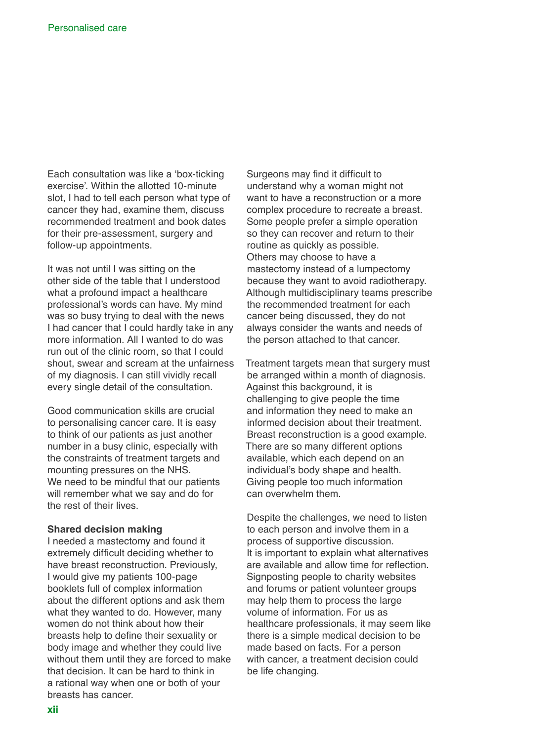Each consultation was like a 'box-ticking exercise'. Within the allotted 10-minute slot, I had to tell each person what type of cancer they had, examine them, discuss recommended treatment and book dates for their pre-assessment, surgery and follow-up appointments.

It was not until I was sitting on the other side of the table that I understood what a profound impact a healthcare professional's words can have. My mind was so busy trying to deal with the news I had cancer that I could hardly take in any more information. All I wanted to do was run out of the clinic room, so that I could shout, swear and scream at the unfairness of my diagnosis. I can still vividly recall every single detail of the consultation.

Good communication skills are crucial to personalising cancer care. It is easy to think of our patients as just another number in a busy clinic, especially with the constraints of treatment targets and mounting pressures on the NHS. We need to be mindful that our patients will remember what we say and do for the rest of their lives.

# **Shared decision making**

I needed a mastectomy and found it extremely difficult deciding whether to have breast reconstruction. Previously, I would give my patients 100-page booklets full of complex information about the different options and ask them what they wanted to do. However, many women do not think about how their breasts help to define their sexuality or body image and whether they could live without them until they are forced to make that decision. It can be hard to think in a rational way when one or both of your breasts has cancer.

Surgeons may find it difficult to understand why a woman might not want to have a reconstruction or a more complex procedure to recreate a breast. Some people prefer a simple operation so they can recover and return to their routine as quickly as possible. Others may choose to have a mastectomy instead of a lumpectomy because they want to avoid radiotherapy. Although multidisciplinary teams prescribe the recommended treatment for each cancer being discussed, they do not always consider the wants and needs of the person attached to that cancer.

Treatment targets mean that surgery must be arranged within a month of diagnosis. Against this background, it is challenging to give people the time and information they need to make an informed decision about their treatment. Breast reconstruction is a good example. There are so many different options available, which each depend on an individual's body shape and health. Giving people too much information can overwhelm them.

Despite the challenges, we need to listen to each person and involve them in a process of supportive discussion. It is important to explain what alternatives are available and allow time for reflection. Signposting people to charity websites and forums or patient volunteer groups may help them to process the large volume of information. For us as healthcare professionals, it may seem like there is a simple medical decision to be made based on facts. For a person with cancer, a treatment decision could be life changing.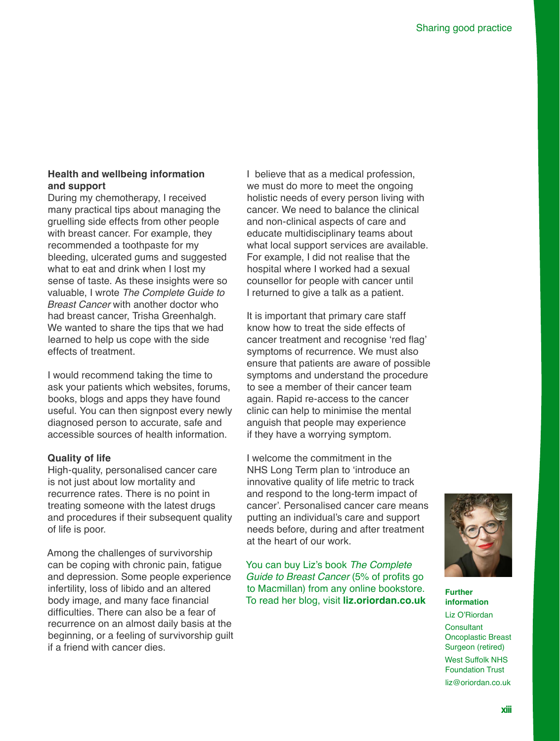# **Health and wellbeing information and support**

During my chemotherapy, I received many practical tips about managing the gruelling side effects from other people with breast cancer. For example, they recommended a toothpaste for my bleeding, ulcerated gums and suggested what to eat and drink when I lost my sense of taste. As these insights were so valuable, I wrote *The Complete Guide to Breast Cancer* with another doctor who had breast cancer, Trisha Greenhalgh. We wanted to share the tips that we had learned to help us cope with the side effects of treatment.

I would recommend taking the time to ask your patients which websites, forums, books, blogs and apps they have found useful. You can then signpost every newly diagnosed person to accurate, safe and accessible sources of health information.

# **Quality of life**

High-quality, personalised cancer care is not just about low mortality and recurrence rates. There is no point in treating someone with the latest drugs and procedures if their subsequent quality of life is poor.

Among the challenges of survivorship can be coping with chronic pain, fatigue and depression. Some people experience infertility, loss of libido and an altered body image, and many face financial difficulties. There can also be a fear of recurrence on an almost daily basis at the beginning, or a feeling of survivorship guilt if a friend with cancer dies.

I believe that as a medical profession, we must do more to meet the ongoing holistic needs of every person living with cancer. We need to balance the clinical and non-clinical aspects of care and educate multidisciplinary teams about what local support services are available. For example, I did not realise that the hospital where I worked had a sexual counsellor for people with cancer until I returned to give a talk as a patient.

It is important that primary care staff know how to treat the side effects of cancer treatment and recognise 'red flag' symptoms of recurrence. We must also ensure that patients are aware of possible symptoms and understand the procedure to see a member of their cancer team again. Rapid re-access to the cancer clinic can help to minimise the mental anguish that people may experience if they have a worrying symptom.

I welcome the commitment in the NHS Long Term plan to 'introduce an innovative quality of life metric to track and respond to the long-term impact of cancer'. Personalised cancer care means putting an individual's care and support needs before, during and after treatment at the heart of our work.

You can buy Liz's book *The Complete Guide to Breast Cancer* (5% of profits go to Macmillan) from any online bookstore. To read her blog, visit **[liz.oriordan.co.uk](http://liz.oriordan.co.uk)**



**Further information** Liz O'Riordan **Consultant** Oncoplastic Breast Surgeon (retired) West Suffolk NHS Foundation Trust [liz@oriordan.co.uk](mailto:liz@oriordan.co.uk)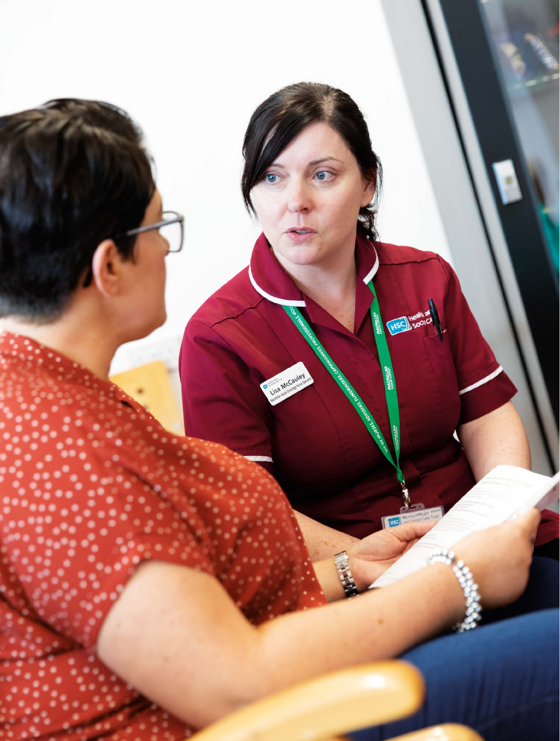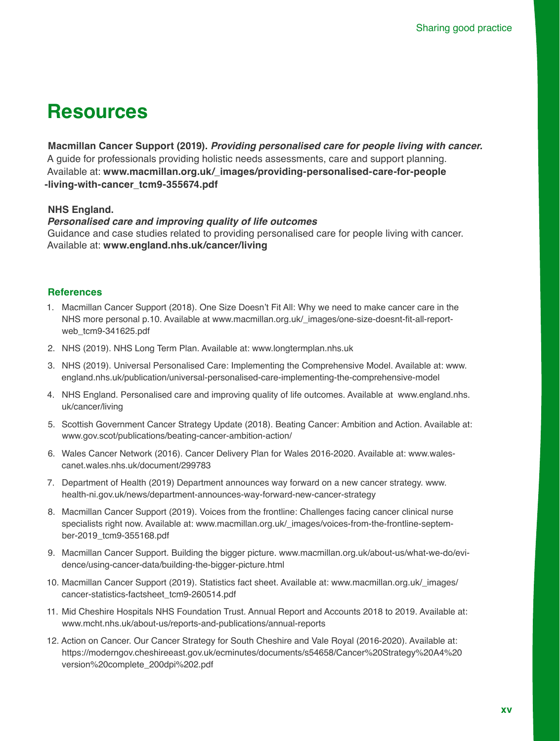# **Resources**

**Macmillan Cancer Support (2019).** *Providing personalised care for people living with cancer.*  A guide for professionals providing holistic needs assessments, care and support planning. Available at: **[www.macmillan.org.uk/\\_images/providing-personalised-care-for-people](http://www.macmillan.org.uk/_images/providing-personalised-care-for-people) -living-with-cancer\_tcm9-355674.pdf**

# **NHS England.**

# *Personalised care and improving quality of life outcomes*

Guidance and case studies related to providing personalised care for people living with cancer. Available at: **[www.england.nhs.uk/cancer/living](http://www.england.nhs.uk/cancer/living)** 

# **References**

- 1. Macmillan Cancer Support (2018). One Size Doesn't Fit All: Why we need to make cancer care in the NHS more personal p.10. Available at [www.macmillan.org.uk/\\_images/one-size-doesnt-fit-all-report](http://www.macmillan.org.uk/_images/one-size-doesnt-fit-all-report-web_tcm9-341625.pdf)[web\\_tcm9-341625.pdf](http://www.macmillan.org.uk/_images/one-size-doesnt-fit-all-report-web_tcm9-341625.pdf)
- 2. NHS (2019). NHS Long Term Plan. Available at: [www.longtermplan.nhs.uk](http://www.longtermplan.nhs.uk)
- 3. NHS (2019). Universal Personalised Care: Implementing the Comprehensive Model. Available at: [www.](http://www.england.nhs.uk/publication/universal-personalised-care-implementing-the-comprehensive-model) [england.nhs.uk/publication/universal-personalised-care-implementing-the-comprehensive-model](http://www.england.nhs.uk/publication/universal-personalised-care-implementing-the-comprehensive-model)
- 4. NHS England. Personalised care and improving quality of life outcomes. Available at [www.england.nhs.](http://www.england.nhs.uk/cancer/living) [uk/cancer/living](http://www.england.nhs.uk/cancer/living)
- 5. Scottish Government Cancer Strategy Update (2018). Beating Cancer: Ambition and Action. Available at: [www.gov](http://www.gov).scot/publications/beating-cancer-ambition-action/
- 6. Wales Cancer Network (2016). Cancer Delivery Plan for Wales 2016-2020. Available at: [www.wales](http://www.walescanet.wales.nhs.uk/document/299783)[canet.wales.nhs.uk/document/299783](http://www.walescanet.wales.nhs.uk/document/299783)
- 7. Department of Health (2019) Department announces way forward on a new cancer strategy. [www.](http://www.health-ni.gov.uk/news/department-announces-way-forward-new-cancer-strategy) [health-ni.gov.uk/news/department-announces-way-forward-new-cancer-strategy](http://www.health-ni.gov.uk/news/department-announces-way-forward-new-cancer-strategy)
- 8. Macmillan Cancer Support (2019). Voices from the frontline: Challenges facing cancer clinical nurse specialists right now. Available at: [www.macmillan.org.uk/\\_images/voices-from-the-frontline-septem](http://www.macmillan.org.uk/_images/voices-from-the-frontline-september-2019_tcm9-355168.pdf)[ber-2019\\_tcm9-355168.pdf](http://www.macmillan.org.uk/_images/voices-from-the-frontline-september-2019_tcm9-355168.pdf)
- 9. Macmillan Cancer Support. Building the bigger picture. [www.macmillan.org.uk/about-us/what-we-do/evi](http://www.macmillan.org.uk/about-us/what-we-do/evidence/using-cancer-data/building-the-bigger-picture.html)[dence/using-cancer-data/building-the-bigger-picture.html](http://www.macmillan.org.uk/about-us/what-we-do/evidence/using-cancer-data/building-the-bigger-picture.html)
- 10. Macmillan Cancer Support (2019). Statistics fact sheet. Available at: [www.macmillan.org.uk/\\_images/](http://www.macmillan.org.uk/_images/cancer-statistics-factsheet_tcm9-260514.pdf) [cancer-statistics-factsheet\\_tcm9-260514.pdf](http://www.macmillan.org.uk/_images/cancer-statistics-factsheet_tcm9-260514.pdf)
- 11. Mid Cheshire Hospitals NHS Foundation Trust. Annual Report and Accounts 2018 to 2019. Available at: [www.mcht.nhs.uk/about-us/reports-and-publications/annual-reports](http://www.mcht.nhs.uk/about-us/reports-and-publications/annual-reports)
- 12. Action on Cancer. Our Cancer Strategy for South Cheshire and Vale Royal (2016-2020). Available at: [https://moderngov.cheshireeast.gov.uk/ecminutes/documents/s54658/Cancer%20Strategy%20A4%20](https://moderngov.cheshireeast.gov.uk/ecminutes/documents/s54658/Cancer%20Strategy%20A4%20version%20complete_200dpi%202.pdf) [version%20complete\\_200dpi%202.pdf](https://moderngov.cheshireeast.gov.uk/ecminutes/documents/s54658/Cancer%20Strategy%20A4%20version%20complete_200dpi%202.pdf)